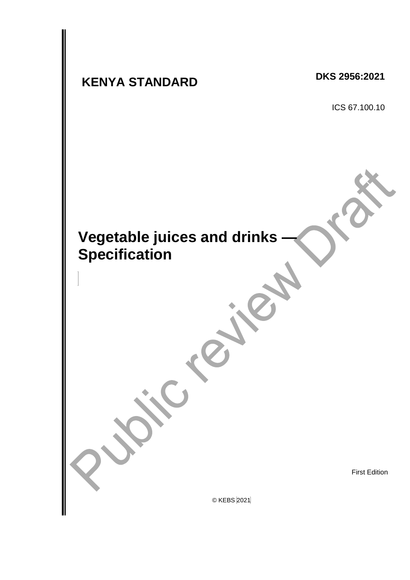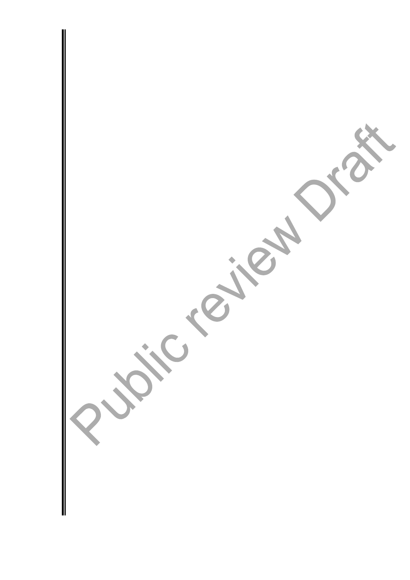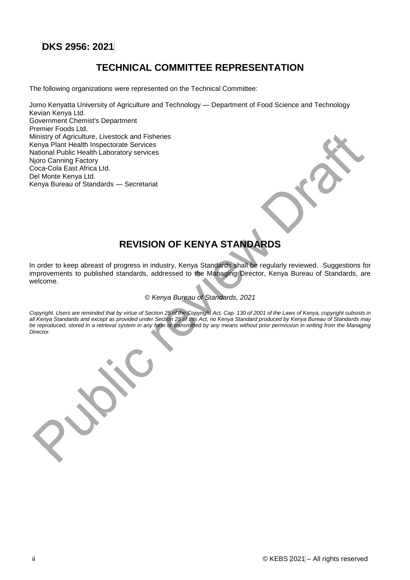# **DKS 2956: 2021**

# **TECHNICAL COMMITTEE REPRESENTATION**

The following organizations were represented on the Technical Committee:

Jomo Kenyatta University of Agriculture and Technology — Department of Food Science and Technology Kevian Kenya Ltd. Government Chemist's Department Premier Foods Ltd. Ministry of Agriculture, Livestock and Fisheries Kenya Plant Health Inspectorate Services National Public Health Laboratory services Njoro Canning Factory Coca-Cola East Africa Ltd. Del Monte Kenya Ltd. Kenya Bureau of Standards — Secretariat

# **REVISION OF KENYA STANDARDS**

In order to keep abreast of progress in industry, Kenya Standards shall be regularly reviewed. Suggestions for improvements to published standards, addressed to the Managing Director, Kenya Bureau of Standards, are welcome.

### *© Kenya Bureau of Standards, 2021*

*Copyright. Users are reminded that by virtue of Section 25 of the Copyright Act, Cap. 130 of 2001 of the Laws of Kenya, copyright subsists in all Kenya Standards and except as provided under Section 25 of this Act, no Kenya Standard produced by Kenya Bureau of Standards may be reproduced, stored in a retrieval system in any form or transmitted by any means without prior permission in writing from the Managing Director.*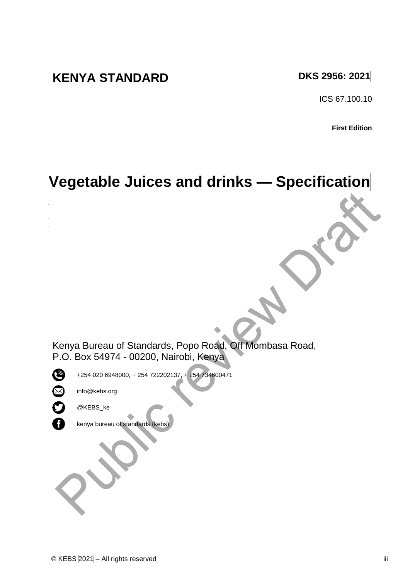# **KENYA STANDARD DKS 2956: 2021**

ICS 67.100.10

**First Edition**

# **Vegetable Juices and drinks — Specification**

Kenya Bureau of Standards, Popo Road, Off Mombasa Road, P.O. Box 54974 - 00200, Nairobi, Kenya



+254 020 6948000, + 254 722202137, + 254 734600471



info@kebs.org @KEBS\_ke



kenya bureau of standards (kebs)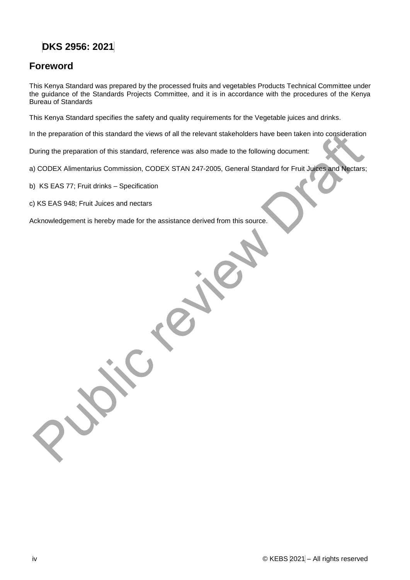# **DKS 2956: 2021**

# **Foreword**

This Kenya Standard was prepared by the processed fruits and vegetables Products Technical Committee under the guidance of the Standards Projects Committee, and it is in accordance with the procedures of the Kenya Bureau of Standards

This Kenya Standard specifies the safety and quality requirements for the Vegetable juices and drinks.

In the preparation of this standard the views of all the relevant stakeholders have been taken into consideration

During the preparation of this standard, reference was also made to the following document:

a) CODEX Alimentarius Commission, CODEX STAN 247-2005, General Standard for Fruit Juices and Nectars;

b) KS EAS 77; Fruit drinks – Specification

c) KS EAS 948; Fruit Juices and nectars

Acknowledgement is hereby made for the assistance derived from this source.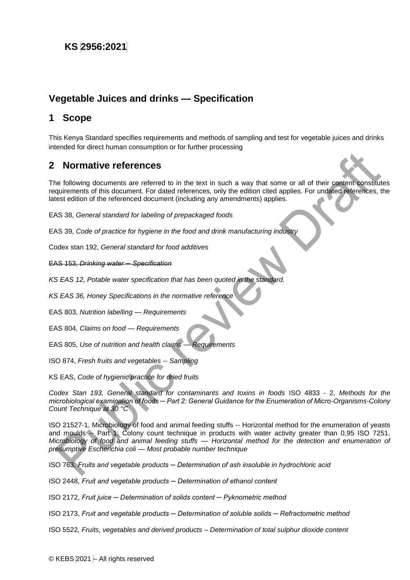# **Vegetable Juices and drinks — Specification**

# **1 Scope**

This Kenya Standard specifies requirements and methods of sampling and test for vegetable juices and drinks intended for direct human consumption or for further processing

# **2 Normative references**

The following documents are referred to in the text in such a way that some or all of their content constitutes requirements of this document. For dated references, only the edition cited applies. For undated references, the latest edition of the referenced document (including any amendments) applies.

EAS 38, *General standard for labeling of prepackaged foods*

EAS 39, *Code of practice for hygiene in the food and drink manufacturing industry* 

Codex stan 192, *General standard for food additives* 

EAS 153, *Drinking water ─ Specification* 

*KS EAS 12, Potable water specification that has been quoted in the standard.*

*KS EAS 36, Honey Specifications in the normative reference*

EAS 803, *Nutrition labelling — Requirements*

EAS 804, *Claims on food — Requirements*

EAS 805, *Use of nutrition and health claims — Requirements* 

ISO 874, *Fresh fruits and vegetables -- Sampling*

KS EAS, *Code of hygienic practice for dried fruits* 

*Codex Stan 193, General standard for contaminants and toxins in foods* ISO 4833 - 2, *Methods for the microbiological examination of foods ─ Part 2: General Guidance for the Enumeration of Micro-Organisms-Colony Count Technique at 30 °C*

ISO 21527-1, Microbiology of food and animal feeding stuffs -- Horizontal method for the enumeration of yeasts and moulds -- Part 1: Colony count technique in products with water activity greater than 0,95 ISO 7251. *Microbiology of food and animal feeding stuffs — Horizontal method for the detection and enumeration of presumptive Escherichia coli — Most probable number technique* 

ISO 763, *Fruits and vegetable products ─ Determination of ash insoluble in hydrochloric acid*

ISO 2448, *Fruit and vegetable products ─ Determination of ethanol content*

ISO 2172, *Fruit juice ─ Determination of solids content ─ Pyknometric method*

ISO 2173, *Fruit and vegetable products ─ Determination of soluble solids ─ Refractometric method* 

ISO 5522*, Fruits, vegetables and derived products – Determination of total sulphur dioxide content*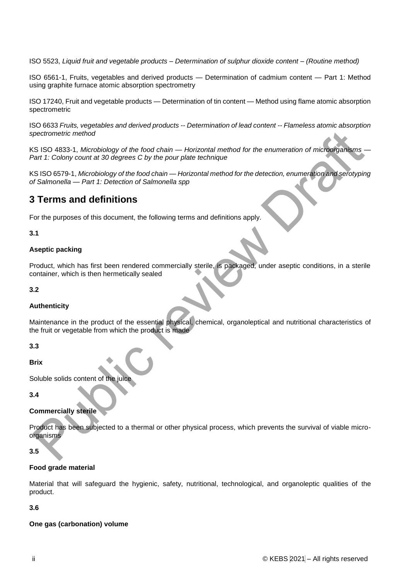ISO 5523, *Liquid fruit and vegetable products – Determination of sulphur dioxide content – (Routine method)*

ISO 6561-1, Fruits, vegetables and derived products — Determination of cadmium content — Part 1: Method using graphite furnace atomic absorption spectrometry

ISO 17240, Fruit and vegetable products — Determination of tin content — Method using flame atomic absorption spectrometric

ISO 6633 *Fruits, vegetables and derived products -- Determination of lead content -- Flameless atomic absorption spectrometric method*

KS ISO 4833-1, *Microbiology of the food chain — Horizontal method for the enumeration of microorganisms Part 1: Colony count at 30 degrees C by the pour plate technique*

KS ISO 6579-1, *Microbiology of the food chain — Horizontal method for the detection, enumeration and serotyping of Salmonella — Part 1: Detection of Salmonella spp*

# **3 Terms and definitions**

For the purposes of this document, the following terms and definitions apply.

#### **3.1**

#### **Aseptic packing**

Product, which has first been rendered commercially sterile, is packaged, under aseptic conditions, in a sterile container, which is then hermetically sealed

#### **3.2**

#### **Authenticity**

Maintenance in the product of the essential physical, chemical, organoleptical and nutritional characteristics of the fruit or vegetable from which the product is made

#### **3.3**

#### **Brix**

Soluble solids content of the juice

**3.4** 

### **Commercially sterile**

Product has been subjected to a thermal or other physical process, which prevents the survival of viable microorganisms

#### **3.5**

#### **Food grade material**

Material that will safeguard the hygienic, safety, nutritional, technological, and organoleptic qualities of the product.

#### **3.6**

#### **One gas (carbonation) volume**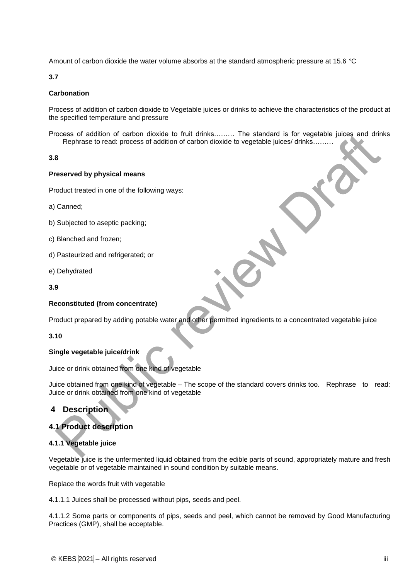Amount of carbon dioxide the water volume absorbs at the standard atmospheric pressure at 15.6 *°*C

#### **3.7**

#### **Carbonation**

Process of addition of carbon dioxide to Vegetable juices or drinks to achieve the characteristics of the product at the specified temperature and pressure

Process of addition of carbon dioxide to fruit drinks……… The standard is for vegetable juices and drinks Rephrase to read: process of addition of carbon dioxide to vegetable juices/ drinks………

#### **3.8**

#### **Preserved by physical means**

Product treated in one of the following ways:

a) Canned;

- b) Subjected to aseptic packing;
- c) Blanched and frozen;
- d) Pasteurized and refrigerated; or
- e) Dehydrated

#### **3.9**

#### **Reconstituted (from concentrate)**

Product prepared by adding potable water and other permitted ingredients to a concentrated vegetable juice

**3.10**

#### **Single vegetable juice/drink**

Juice or drink obtained from one kind of vegetable

Juice obtained from one kind of vegetable – The scope of the standard covers drinks too. Rephrase to read: Juice or drink obtained from one kind of vegetable

### **4 Description**

## **4.1 Product description**

#### **4.1.1 Vegetable juice**

Vegetable juice is the unfermented liquid obtained from the edible parts of sound, appropriately mature and fresh vegetable or of vegetable maintained in sound condition by suitable means.

Replace the words fruit with vegetable

4.1.1.1 Juices shall be processed without pips, seeds and peel.

4.1.1.2 Some parts or components of pips, seeds and peel, which cannot be removed by Good Manufacturing Practices (GMP), shall be acceptable.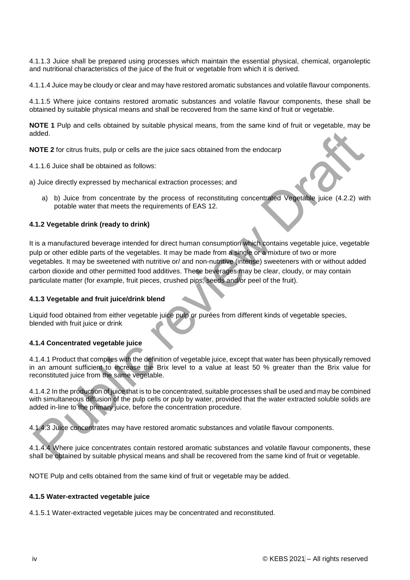4.1.1.3 Juice shall be prepared using processes which maintain the essential physical, chemical, organoleptic and nutritional characteristics of the juice of the fruit or vegetable from which it is derived.

4.1.1.4 Juice may be cloudy or clear and may have restored aromatic substances and volatile flavour components.

4.1.1.5 Where juice contains restored aromatic substances and volatile flavour components, these shall be obtained by suitable physical means and shall be recovered from the same kind of fruit or vegetable.

**NOTE 1** Pulp and cells obtained by suitable physical means, from the same kind of fruit or vegetable, may be added.

**NOTE 2** for citrus fruits, pulp or cells are the juice sacs obtained from the endocarp

4.1.1.6 Juice shall be obtained as follows:

a) Juice directly expressed by mechanical extraction processes; and

a) b) Juice from concentrate by the process of reconstituting concentrated Vegetable juice (4.2.2) with potable water that meets the requirements of EAS 12.

#### **4.1.2 Vegetable drink (ready to drink)**

It is a manufactured beverage intended for direct human consumption which contains vegetable juice, vegetable pulp or other edible parts of the vegetables. It may be made from a single or a mixture of two or more vegetables. It may be sweetened with nutritive or/ and non-nutritive (intense) sweeteners with or without added carbon dioxide and other permitted food additives. These beverages may be clear, cloudy, or may contain particulate matter (for example, fruit pieces, crushed pips, seeds and/or peel of the fruit).

#### **4.1.3 Vegetable and fruit juice/drink blend**

Liquid food obtained from either vegetable juice pulp or purées from different kinds of vegetable species, blended with fruit juice or drink

#### **4.1.4 Concentrated vegetable juice**

4.1.4.1 Product that complies with the definition of vegetable juice, except that water has been physically removed in an amount sufficient to increase the Brix level to a value at least 50 % greater than the Brix value for reconstituted juice from the same vegetable.

4.1.4.2 In the production of juice that is to be concentrated, suitable processes shall be used and may be combined with simultaneous diffusion of the pulp cells or pulp by water, provided that the water extracted soluble solids are added in-line to the primary juice, before the concentration procedure.

4.1.4.3 Juice concentrates may have restored aromatic substances and volatile flavour components.

4.1.4.4 Where juice concentrates contain restored aromatic substances and volatile flavour components, these shall be obtained by suitable physical means and shall be recovered from the same kind of fruit or vegetable.

NOTE Pulp and cells obtained from the same kind of fruit or vegetable may be added.

#### **4.1.5 Water-extracted vegetable juice**

4.1.5.1 Water-extracted vegetable juices may be concentrated and reconstituted.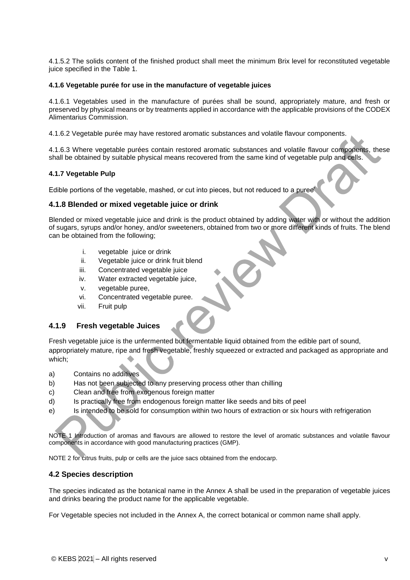4.1.5.2 The solids content of the finished product shall meet the minimum Brix level for reconstituted vegetable juice specified in the Table 1.

#### **4.1.6 Vegetable purée for use in the manufacture of vegetable juices**

4.1.6.1 Vegetables used in the manufacture of purées shall be sound, appropriately mature, and fresh or preserved by physical means or by treatments applied in accordance with the applicable provisions of the CODEX Alimentarius Commission.

4.1.6.2 Vegetable purée may have restored aromatic substances and volatile flavour components.

4.1.6.3 Where vegetable purées contain restored aromatic substances and volatile flavour components, these shall be obtained by suitable physical means recovered from the same kind of vegetable pulp and cells.

#### **4.1.7 Vegetable Pulp**

Edible portions of the vegetable, mashed, or cut into pieces, but not reduced to a puree'

#### **4.1.8 Blended or mixed vegetable juice or drink**

Blended or mixed vegetable juice and drink is the product obtained by adding water with or without the addition of sugars, syrups and/or honey, and/or sweeteners, obtained from two or more different kinds of fruits. The blend can be obtained from the following;

- i. vegetable juice or drink
- ii. Vegetable juice or drink fruit blend
- iii. Concentrated vegetable juice
- iv. Water extracted vegetable juice,
- v. vegetable puree,
- vi. Concentrated vegetable puree.
- vii. Fruit pulp

#### **4.1.9 Fresh vegetable Juices**

Fresh vegetable juice is the unfermented but fermentable liquid obtained from the edible part of sound, appropriately mature, ripe and fresh vegetable, freshly squeezed or extracted and packaged as appropriate and which;

- a) Contains no additives
- b) Has not been subjected to any preserving process other than chilling
- c) Clean and free from exogenous foreign matter
- d) Is practically free from endogenous foreign matter like seeds and bits of peel
- e) Is intended to be sold for consumption within two hours of extraction or six hours with refrigeration

NOTE 1 Introduction of aromas and flavours are allowed to restore the level of aromatic substances and volatile flavour components in accordance with good manufacturing practices (GMP).

NOTE 2 for citrus fruits, pulp or cells are the juice sacs obtained from the endocarp.

#### **4.2 Species description**

The species indicated as the botanical name in the Annex A shall be used in the preparation of vegetable juices and drinks bearing the product name for the applicable vegetable.

For Vegetable species not included in the Annex A, the correct botanical or common name shall apply.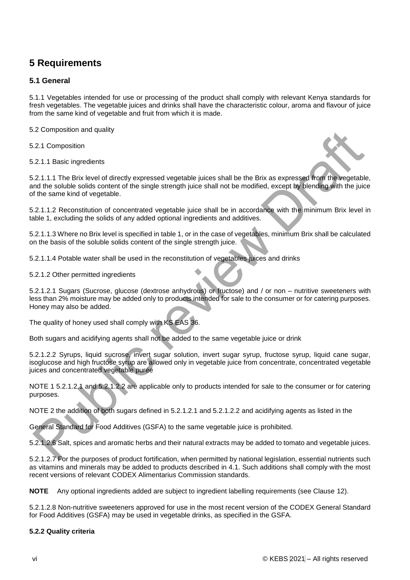# **5 Requirements**

### **5.1 General**

5.1.1 Vegetables intended for use or processing of the product shall comply with relevant Kenya standards for fresh vegetables. The vegetable juices and drinks shall have the characteristic colour, aroma and flavour of juice from the same kind of vegetable and fruit from which it is made.

5.2 Composition and quality

5.2.1 Composition

5.2.1.1 Basic ingredients



5.2.1.1.1 The Brix level of directly expressed vegetable juices shall be the Brix as expressed from the vegetable, and the soluble solids content of the single strength juice shall not be modified, except by blending with the juice of the same kind of vegetable.

5.2.1.1.2 Reconstitution of concentrated vegetable juice shall be in accordance with the minimum Brix level in table 1, excluding the solids of any added optional ingredients and additives.

5.2.1.1.3 Where no Brix level is specified in table 1, or in the case of vegetables, minimum Brix shall be calculated on the basis of the soluble solids content of the single strength juice.

5.2.1.1.4 Potable water shall be used in the reconstitution of vegetables juices and drinks

5.2.1.2 Other permitted ingredients

5.2.1.2.1 Sugars (Sucrose, glucose (dextrose anhydrous) or fructose) and / or non – nutritive sweeteners with less than 2% moisture may be added only to products intended for sale to the consumer or for catering purposes. Honey may also be added.

The quality of honey used shall comply with KS EAS 36.

Both sugars and acidifying agents shall not be added to the same vegetable juice or drink

5.2.1.2.2 Syrups, liquid sucrose, invert sugar solution, invert sugar syrup, fructose syrup, liquid cane sugar, isoglucose and high fructose syrup are allowed only in vegetable juice from concentrate, concentrated vegetable juices and concentrated vegetable purée

NOTE 1 5.2.1.2.1 and 5.2.1.2.2 are applicable only to products intended for sale to the consumer or for catering purposes.

NOTE 2 the addition of both sugars defined in 5.2.1.2.1 and 5.2.1.2.2 and acidifying agents as listed in the

General Standard for Food Additives (GSFA) to the same vegetable juice is prohibited.

5.2.1.2.6 Salt, spices and aromatic herbs and their natural extracts may be added to tomato and vegetable juices.

5.2.1.2.7 For the purposes of product fortification, when permitted by national legislation, essential nutrients such as vitamins and minerals may be added to products described in 4.1. Such additions shall comply with the most recent versions of relevant CODEX Alimentarius Commission standards.

**NOTE** Any optional ingredients added are subject to ingredient labelling requirements (see Clause 12).

5.2.1.2.8 Non-nutritive sweeteners approved for use in the most recent version of the CODEX General Standard for Food Additives (GSFA) may be used in vegetable drinks, as specified in the GSFA.

#### **5.2.2 Quality criteria**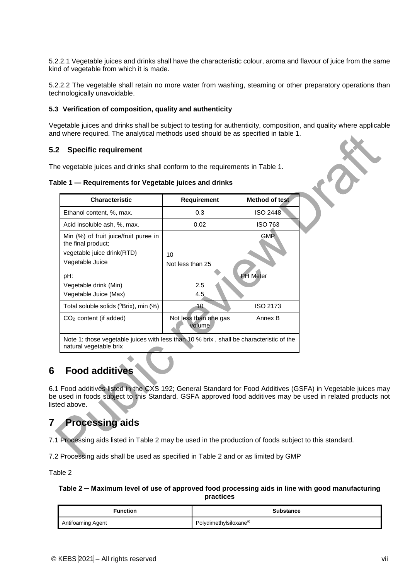5.2.2.1 Vegetable juices and drinks shall have the characteristic colour, aroma and flavour of juice from the same kind of vegetable from which it is made.

5.2.2.2 The vegetable shall retain no more water from washing, steaming or other preparatory operations than technologically unavoidable.

#### **5.3 Verification of composition, quality and authenticity**

Vegetable juices and drinks shall be subject to testing for authenticity, composition, and quality where applicable and where required. The analytical methods used should be as specified in table 1.

### **5.2 Specific requirement**

The vegetable juices and drinks shall conform to the requirements in Table 1.

#### **Table 1 — Requirements for Vegetable juices and drinks**

| <b>Characteristic</b>                                                                                             | <b>Requirement</b>              | Method of test  |  |
|-------------------------------------------------------------------------------------------------------------------|---------------------------------|-----------------|--|
| Ethanol content, %, max.                                                                                          | 0.3                             | ISO 2448        |  |
| Acid insoluble ash, %, max.                                                                                       | 0.02                            | <b>ISO 763</b>  |  |
| Min (%) of fruit juice/fruit puree in<br>the final product;<br>vegetable juice drink(RTD)<br>Vegetable Juice      | 10<br>Not less than 25          | <b>GMP</b>      |  |
| pH:<br>Vegetable drink (Min)<br>Vegetable Juice (Max)                                                             | 2.5<br>4.5.                     | <b>PH</b> Meter |  |
| Total soluble solids ( <sup>0</sup> Brix), min (%)                                                                | 10.                             | <b>ISO 2173</b> |  |
| $CO2$ content (if added)                                                                                          | Not less than one gas<br>volume | Annex B         |  |
| Note 1; those vegetable juices with less than 10 % brix, shall be characteristic of the<br>natural vegetable brix |                                 |                 |  |

# **6 Food additives**

 $\triangle$ 

6.1 Food additives listed in the CXS 192; General Standard for Food Additives (GSFA) in Vegetable juices may be used in foods subject to this Standard. GSFA approved food additives may be used in related products not listed above.

# **7 Processing aids**

7.1 Processing aids listed in Table 2 may be used in the production of foods subject to this standard.

7.2 Processing aids shall be used as specified in Table 2 and or as limited by GMP

Table 2

#### **Table 2 ─ Maximum level of use of approved food processing aids in line with good manufacturing practices**

| unction           | Substance                          |
|-------------------|------------------------------------|
| Antifoaming Agent | Polydimethylsiloxane <sup>a)</sup> |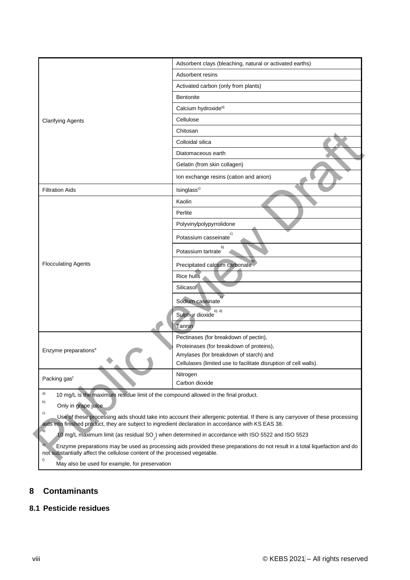|                                                                                                            | Adsorbent clays (bleaching, natural or activated earths)                                                                        |
|------------------------------------------------------------------------------------------------------------|---------------------------------------------------------------------------------------------------------------------------------|
|                                                                                                            | Adsorbent resins                                                                                                                |
|                                                                                                            | Activated carbon (only from plants)                                                                                             |
|                                                                                                            | <b>Bentonite</b>                                                                                                                |
|                                                                                                            | Calcium hydroxideb)                                                                                                             |
| <b>Clarifying Agents</b>                                                                                   | Cellulose                                                                                                                       |
|                                                                                                            | Chitosan                                                                                                                        |
|                                                                                                            | Colloidal silica                                                                                                                |
|                                                                                                            | Diatomaceous earth                                                                                                              |
|                                                                                                            | Gelatin (from skin collagen)                                                                                                    |
|                                                                                                            | Ion exchange resins (cation and anion)                                                                                          |
| <b>Filtration Aids</b>                                                                                     | Isinglass <sup>c)</sup>                                                                                                         |
|                                                                                                            | Kaolin                                                                                                                          |
|                                                                                                            | Perlite                                                                                                                         |
|                                                                                                            | Polyvinylpolypyrrolidone                                                                                                        |
|                                                                                                            | Potassium casseinate                                                                                                            |
|                                                                                                            | b)<br>Potassium tartrate                                                                                                        |
| <b>Flocculating Agents</b>                                                                                 | b)<br>Precipitated calcium carbonate                                                                                            |
|                                                                                                            | Rice hulls                                                                                                                      |
|                                                                                                            | Silicasol                                                                                                                       |
|                                                                                                            | Sodium caseinate                                                                                                                |
|                                                                                                            | $b)$ , d)<br>Sulphur dioxide                                                                                                    |
|                                                                                                            | Tannin                                                                                                                          |
|                                                                                                            | Pectinases (for breakdown of pectin),                                                                                           |
| Enzyme preparations <sup>e</sup>                                                                           | Proteinases (for breakdown of proteins),                                                                                        |
|                                                                                                            | Amylases (for breakdown of starch) and                                                                                          |
|                                                                                                            | Cellulases (limited use to facilitate disruption of cell walls).                                                                |
| Packing gas <sup>f</sup>                                                                                   | Nitrogen                                                                                                                        |
|                                                                                                            | Carbon dioxide                                                                                                                  |
| a)<br>10 mg/L is the maximum residue limit of the compound allowed in the final product.                   |                                                                                                                                 |
| b)<br>Only in grape juice                                                                                  |                                                                                                                                 |
| c)<br>aids into finished product, they are subject to ingredient declaration in accordance with KS EAS 38. | Use of these processing aids should take into account their allergenic potential. If there is any carryover of these processing |
| d)                                                                                                         | 10 mg/L maximum limit (as residual SO <sub>2</sub> ) when determined in accordance with ISO 5522 and ISO 5523                   |
| e)<br>not substantially affect the cellulose content of the processed vegetable.                           | Enzyme preparations may be used as processing aids provided these preparations do not result in a total liquefaction and do     |
| f)                                                                                                         |                                                                                                                                 |
| May also be used for example, for preservation                                                             |                                                                                                                                 |

# **8 Contaminants**

### **8.1 Pesticide residues**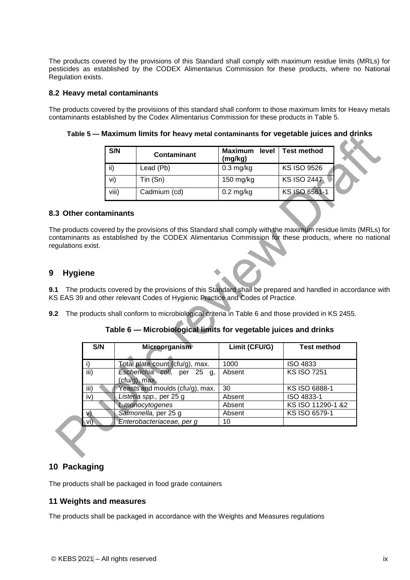The products covered by the provisions of this Standard shall comply with maximum residue limits (MRLs) for pesticides as established by the CODEX Alimentarius Commission for these products, where no National Regulation exists.

### **8.2 Heavy metal contaminants**

The products covered by the provisions of this standard shall conform to those maximum limits for Heavy metals contaminants established by the Codex Alimentarius Commission for these products in Table 5.

| S/N   | Contaminant  | <b>Maximum</b><br>level<br>(mg/kg) | <b>Test method</b> |  |
|-------|--------------|------------------------------------|--------------------|--|
| ii)   | Lead (Pb)    | $0.3$ mg/kg                        | <b>KS ISO 9526</b> |  |
| vi)   | Tin (Sn)     | $150$ mg/kg                        | <b>KS ISO 2447</b> |  |
| viii) | Cadmium (cd) | $0.2$ mg/kg                        | KS ISO 6561-1      |  |

**Table 5 — Maximum limits for heavy metal contaminants for vegetable juices and drinks**

### **8.3 Other contaminants**

The products covered by the provisions of this Standard shall comply with the maximum residue limits (MRLs) for contaminants as established by the CODEX Alimentarius Commission for these products, where no national regulations exist.

### **9 Hygiene**

**9.1** The products covered by the provisions of this Standard shall be prepared and handled in accordance with KS EAS 39 and other relevant Codes of Hygienic Practice and Codes of Practice.

**9.2** The products shall conform to microbiological criteria in Table 6 and those provided in KS 2455.

### **Table 6 — Microbiological limits for vegetable juices and drinks**

| S/N      | Microorganism                   | Limit (CFU/G) | <b>Test method</b> |
|----------|---------------------------------|---------------|--------------------|
|          |                                 |               |                    |
|          | Total plate count (cfu/g), max. | 1000          | <b>ISO 4833</b>    |
| iii)     | Escherichia coli, per 25 g,     | Absent        | <b>KS ISO 7251</b> |
|          | (cfu/g), max.                   |               |                    |
| iii)     | Yeasts and moulds (cfu/g), max. | 30            | KS ISO 6888-1      |
| iv)      | Listeria spp., per 25 g         | Absent        | ISO 4833-1         |
|          | L.monocytogenes                 | Absent        | KS ISO 11290-1 &2  |
| <b>V</b> | Salmonella, per 25 g            | Absent        | KS ISO 6579-1      |
| ∖vi}     | Enterobacteriaceae, per g       | 10            |                    |

# **10 Packaging**

The products shall be packaged in food grade containers

### **11 Weights and measures**

The products shall be packaged in accordance with the Weights and Measures regulations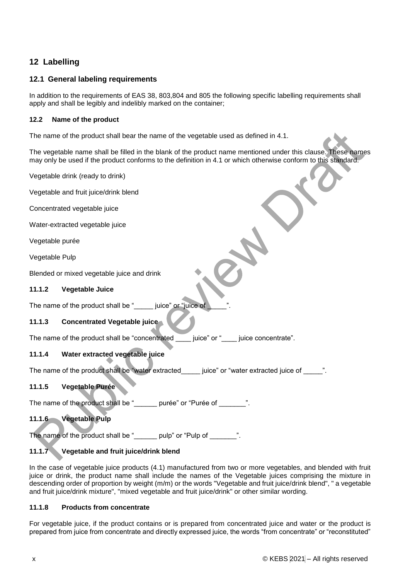# **12 Labelling**

### **12.1 General labeling requirements**

In addition to the requirements of EAS 38, 803,804 and 805 the following specific labelling requirements shall apply and shall be legibly and indelibly marked on the container;

#### **12.2 Name of the product**

The name of the product shall bear the name of the vegetable used as defined in 4.1.

The vegetable name shall be filled in the blank of the product name mentioned under this clause. These names may only be used if the product conforms to the definition in 4.1 or which otherwise conform to this standard.

Vegetable drink (ready to drink)

Vegetable and fruit juice/drink blend

Concentrated vegetable juice

Water-extracted vegetable juice

Vegetable purée

Vegetable Pulp

Blended or mixed vegetable juice and drink

#### **11.1.2 Vegetable Juice**

The name of the product shall be " \_\_\_\_\_ juice" or "juice of

### **11.1.3 Concentrated Vegetable juice**

The name of the product shall be "concentrated \_\_\_\_\_ juice" or "\_\_\_\_\_ juice concentrate".

### **11.1.4 Water extracted vegetable juice**

The name of the product shall be "water extracted juice" or "water extracted juice of  $\blacksquare$ ".

#### **11.1.5 Vegetable Purée**

The name of the product shall be " \_\_\_\_\_\_ purée" or "Purée of \_\_\_\_\_\_\_".

#### **11.1.6 Vegetable Pulp**

The name of the product shall be "\_\_\_\_\_\_ pulp" or "Pulp of \_\_\_\_\_\_\_".

#### **11.1.7 Vegetable and fruit juice/drink blend**

In the case of vegetable juice products (4.1) manufactured from two or more vegetables, and blended with fruit juice or drink, the product name shall include the names of the Vegetable juices comprising the mixture in descending order of proportion by weight (m/m) or the words "Vegetable and fruit juice/drink blend", " a vegetable and fruit juice/drink mixture", "mixed vegetable and fruit juice/drink" or other similar wording.

#### **11.1.8 Products from concentrate**

For vegetable juice, if the product contains or is prepared from concentrated juice and water or the product is prepared from juice from concentrate and directly expressed juice, the words "from concentrate" or "reconstituted"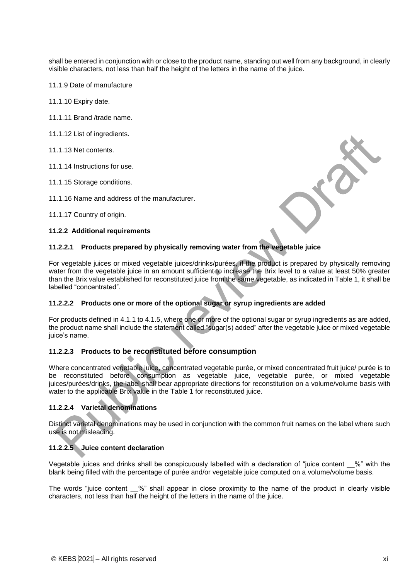shall be entered in conjunction with or close to the product name, standing out well from any background, in clearly visible characters, not less than half the height of the letters in the name of the juice.

11.1.9 Date of manufacture

11.1.10 Expiry date.

- 11.1.11 Brand /trade name.
- 11.1.12 List of ingredients.

11.1.13 Net contents.

11.1.14 Instructions for use.

11.1.15 Storage conditions.

11.1.16 Name and address of the manufacturer.

11.1.17 Country of origin.

#### **11.2.2 Additional requirements**

#### **11.2.2.1 Products prepared by physically removing water from the vegetable juice**

For vegetable juices or mixed vegetable juices/drinks/purées, if the product is prepared by physically removing water from the vegetable juice in an amount sufficient to increase the Brix level to a value at least 50% greater than the Brix value established for reconstituted juice from the same vegetable, as indicated in Table 1, it shall be labelled "concentrated".

#### **11.2.2.2 Products one or more of the optional sugar or syrup ingredients are added**

For products defined in 4.1.1 to 4.1.5, where one or more of the optional sugar or syrup ingredients as are added, the product name shall include the statement called "sugar(s) added" after the vegetable juice or mixed vegetable juice's name.

#### **11.2.2.3 Products to be reconstituted before consumption**

Where concentrated vegetable juice, concentrated vegetable purée, or mixed concentrated fruit juice/ purée is to be reconstituted before consumption as vegetable juice, vegetable purée, or mixed vegetable juices/purées/drinks, the label shall bear appropriate directions for reconstitution on a volume/volume basis with water to the applicable Brix value in the Table 1 for reconstituted juice.

#### **11.2.2.4 Varietal denominations**

Distinct varietal denominations may be used in conjunction with the common fruit names on the label where such use is not misleading.

#### **11.2.2.5 Juice content declaration**

Vegetable juices and drinks shall be conspicuously labelled with a declaration of "juice content \_\_%" with the blank being filled with the percentage of purée and/or vegetable juice computed on a volume/volume basis.

The words "juice content %" shall appear in close proximity to the name of the product in clearly visible characters, not less than half the height of the letters in the name of the juice.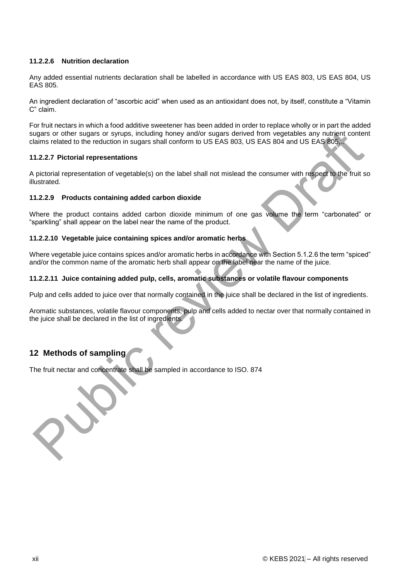#### **11.2.2.6 Nutrition declaration**

Any added essential nutrients declaration shall be labelled in accordance with US EAS 803, US EAS 804, US EAS 805.

An ingredient declaration of "ascorbic acid" when used as an antioxidant does not, by itself, constitute a "Vitamin C" claim.

For fruit nectars in which a food additive sweetener has been added in order to replace wholly or in part the added sugars or other sugars or syrups, including honey and/or sugars derived from vegetables any nutrient content claims related to the reduction in sugars shall conform to US EAS 803, US EAS 804 and US EAS 805,..

#### **11.2.2.7 Pictorial representations**

A pictorial representation of vegetable(s) on the label shall not mislead the consumer with respect to the fruit so illustrated.

#### **11.2.2.9 Products containing added carbon dioxide**

Where the product contains added carbon dioxide minimum of one gas volume the term "carbonated" or "sparkling" shall appear on the label near the name of the product.

#### **11.2.2.10 Vegetable juice containing spices and/or aromatic herbs**

Where vegetable juice contains spices and/or aromatic herbs in accordance with Section 5.1.2.6 the term "spiced" and/or the common name of the aromatic herb shall appear on the label near the name of the juice.

#### **11.2.2.11 Juice containing added pulp, cells, aromatic substances or volatile flavour components**

Pulp and cells added to juice over that normally contained in the juice shall be declared in the list of ingredients.

Aromatic substances, volatile flavour components, pulp and cells added to nectar over that normally contained in the juice shall be declared in the list of ingredients.

## **12 Methods of sampling**

The fruit nectar and concentrate shall be sampled in accordance to ISO. 874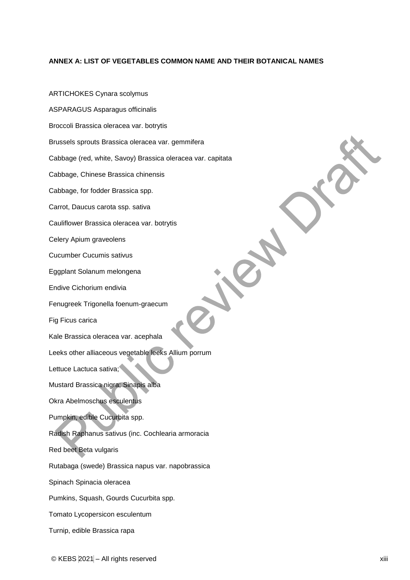#### **ANNEX A: LIST OF VEGETABLES COMMON NAME AND THEIR BOTANICAL NAMES**

ARTICHOKES Cynara scolymus ASPARAGUS Asparagus officinalis Broccoli Brassica oleracea var. botrytis Brussels sprouts Brassica oleracea var. gemmifera Cabbage (red, white, Savoy) Brassica oleracea var. capitata Cabbage, Chinese Brassica chinensis Cabbage, for fodder Brassica spp. Carrot, Daucus carota ssp. sativa Cauliflower Brassica oleracea var. botrytis Celery Apium graveolens Cucumber Cucumis sativus Eggplant Solanum melongena Endive Cichorium endivia Fenugreek Trigonella foenum-graecum Fig Ficus carica Kale Brassica oleracea var. acephala Leeks other alliaceous vegetable leeks Allium porrum Lettuce Lactuca sativa; Mustard Brassica nigra; Sinapis alba Okra Abelmoschus esculentus Pumpkin, edible Cucurbita spp. Radish Raphanus sativus (inc. Cochlearia armoracia Red beet Beta vulgaris Rutabaga (swede) Brassica napus var. napobrassica Spinach Spinacia oleracea Pumkins, Squash, Gourds Cucurbita spp. Tomato Lycopersicon esculentum Turnip, edible Brassica rapa